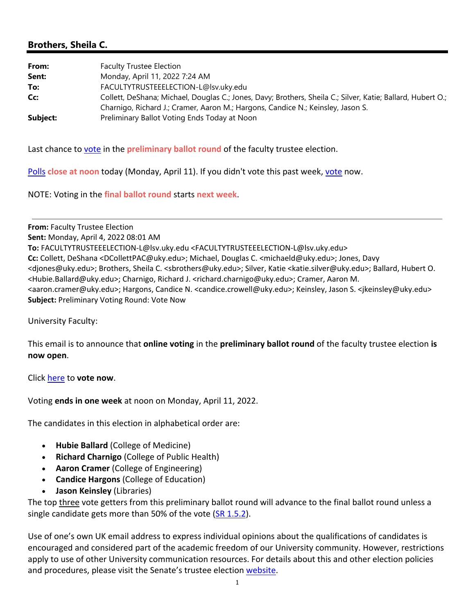## **Brothers, Sheila C.**

| From:    | <b>Faculty Trustee Election</b>                                                                             |
|----------|-------------------------------------------------------------------------------------------------------------|
| Sent:    | Monday, April 11, 2022 7:24 AM                                                                              |
| To:      | FACULTYTRUSTEEELECTION-L@lsv.uky.edu                                                                        |
| Cc:      | Collett, DeShana; Michael, Douglas C.; Jones, Davy; Brothers, Sheila C.; Silver, Katie; Ballard, Hubert O.; |
|          | Charnigo, Richard J.; Cramer, Aaron M.; Hargons, Candice N.; Keinsley, Jason S.                             |
| Subject: | Preliminary Ballot Voting Ends Today at Noon                                                                |

Last chance to vote in the **preliminary ballot round** of the faculty trustee election.

Polls **close at noon** today (Monday, April 11). If you didn't vote this past week, vote now.

NOTE: Voting in the **final ballot round** starts **next week**.

**From:** Faculty Trustee Election **Sent:** Monday, April 4, 2022 08:01 AM **To:** FACULTYTRUSTEEELECTION‐L@lsv.uky.edu <FACULTYTRUSTEEELECTION‐L@lsv.uky.edu> **Cc:** Collett, DeShana <DCollettPAC@uky.edu>; Michael, Douglas C. <michaeld@uky.edu>; Jones, Davy <djones@uky.edu>; Brothers, Sheila C. <sbrothers@uky.edu>; Silver, Katie <katie.silver@uky.edu>; Ballard, Hubert O. <Hubie.Ballard@uky.edu>; Charnigo, Richard J. <richard.charnigo@uky.edu>; Cramer, Aaron M. <aaron.cramer@uky.edu>; Hargons, Candice N. <candice.crowell@uky.edu>; Keinsley, Jason S. <jkeinsley@uky.edu> **Subject:** Preliminary Voting Round: Vote Now

University Faculty:

This email is to announce that **online voting** in the **preliminary ballot round** of the faculty trustee election **is now open**.

Click here to **vote now**.

Voting **ends in one week** at noon on Monday, April 11, 2022.

The candidates in this election in alphabetical order are:

- **Hubie Ballard** (College of Medicine)
- **Richard Charnigo** (College of Public Health)
- **Aaron Cramer** (College of Engineering)
- **Candice Hargons** (College of Education)
- **Jason Keinsley** (Libraries)

The top three vote getters from this preliminary ballot round will advance to the final ballot round unless a single candidate gets more than 50% of the vote (SR 1.5.2).

Use of one's own UK email address to express individual opinions about the qualifications of candidates is encouraged and considered part of the academic freedom of our University community. However, restrictions apply to use of other University communication resources. For details about this and other election policies and procedures, please visit the Senate's trustee election website.